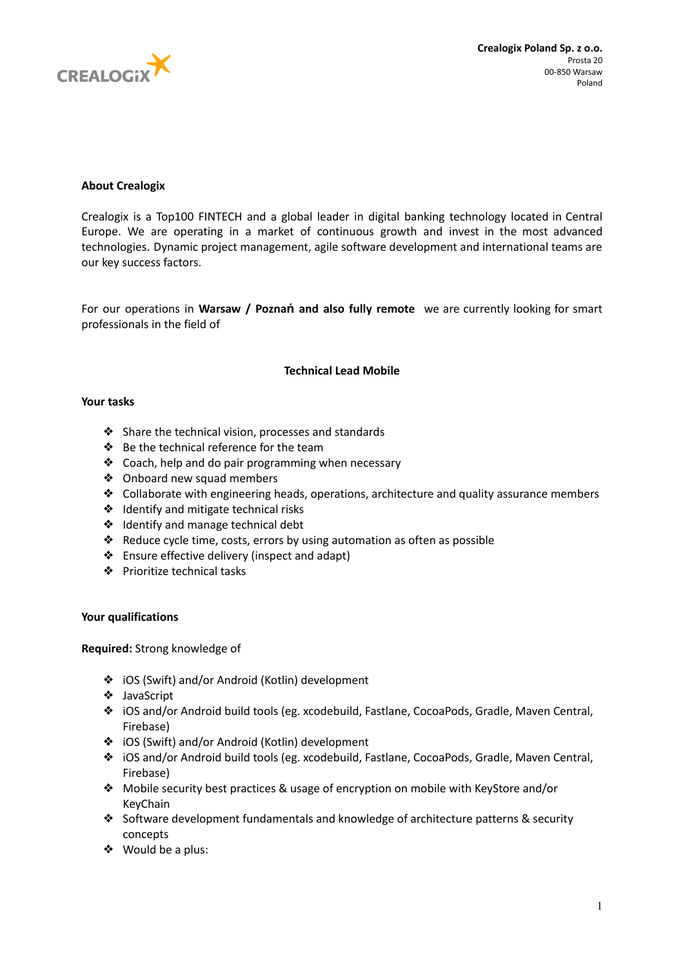

# **About Crealogix**

Crealogix is a Top100 FINTECH and a global leader in digital banking technology located in Central Europe. We are operating in a market of continuous growth and invest in the most advanced technologies. Dynamic project management, agile software development and international teams are our key success factors.

For our operations in **Warsaw / Poznań and also fully remote** we are currently looking for smart professionals in the field of

### **Technical Lead Mobile**

### **Your tasks**

- ❖ Share the technical vision, processes and standards
- ❖ Be the technical reference for the team
- ❖ Coach, help and do pair programming when necessary
- ❖ Onboard new squad members
- ❖ Collaborate with engineering heads, operations, architecture and quality assurance members
- ❖ Identify and mitigate technical risks
- ❖ Identify and manage technical debt
- ❖ Reduce cycle time, costs, errors by using automation as often as possible
- ❖ Ensure effective delivery (inspect and adapt)
- ❖ Prioritize technical tasks

### **Your qualifications**

**Required:** Strong knowledge of

- ❖ iOS (Swift) and/or Android (Kotlin) development
- ❖ JavaScript
- ❖ iOS and/or Android build tools (eg. xcodebuild, Fastlane, CocoaPods, Gradle, Maven Central, Firebase)
- ❖ iOS (Swift) and/or Android (Kotlin) development
- ❖ iOS and/or Android build tools (eg. xcodebuild, Fastlane, CocoaPods, Gradle, Maven Central, Firebase)
- ❖ Mobile security best practices & usage of encryption on mobile with KeyStore and/or KeyChain
- ❖ Software development fundamentals and knowledge of architecture patterns & security concepts
- ❖ Would be a plus: